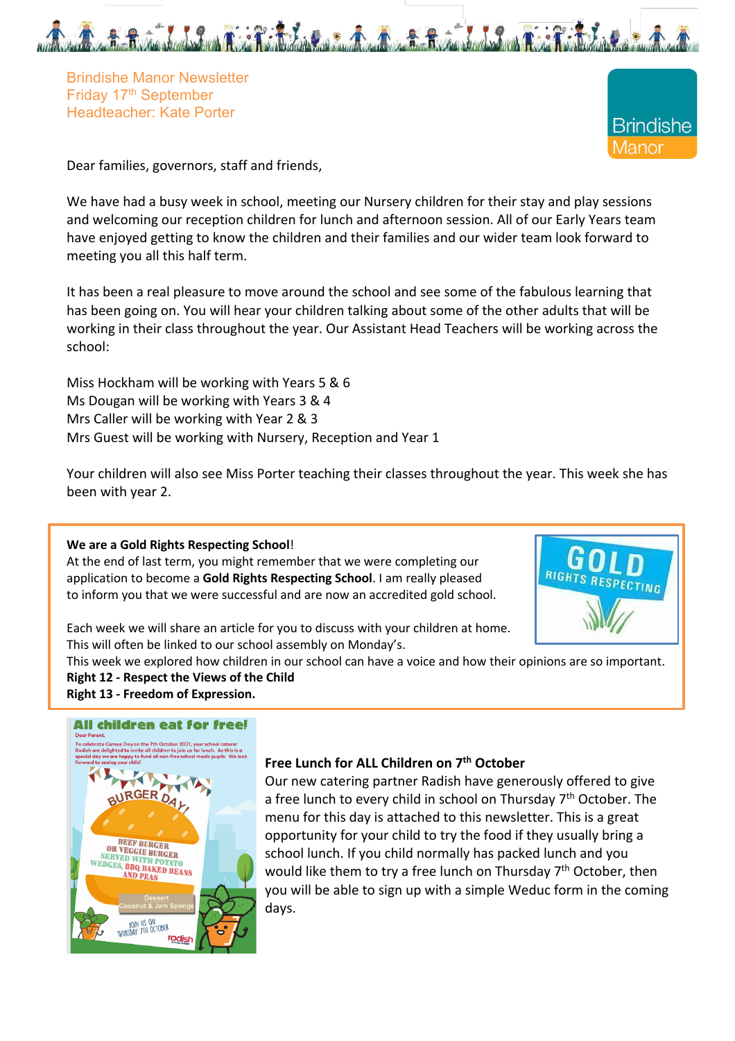



Dear families, governors, staff and friends,

We have had a busy week in school, meeting our Nursery children for their stay and play sessions and welcoming our reception children for lunch and afternoon session. All of our Early Years team have enjoyed getting to know the children and their families and our wider team look forward to meeting you all this half term.

It has been a real pleasure to move around the school and see some of the fabulous learning that has been going on. You will hear your children talking about some of the other adults that will be working in their class throughout the year. Our Assistant Head Teachers will be working across the school:

Miss Hockham will be working with Years 5 & 6 Ms Dougan will be working with Years 3 & 4 Mrs Caller will be working with Year 2 & 3 Mrs Guest will be working with Nursery, Reception and Year 1

Your children will also see Miss Porter teaching their classes throughout the year. This week she has been with year 2.

#### **We are a Gold Rights Respecting School**!

At the end of last term, you might remember that we were completing our application to become a **Gold Rights Respecting School**. I am really pleased to inform you that we were successful and are now an accredited gold school.



Each week we will share an article for you to discuss with your children at home. This will often be linked to our school assembly on Monday's.

This week we explored how children in our school can have a voice and how their opinions are so important.

#### **Right 12 - Respect the Views of the Child**

**Right 13 - Freedom of Expression.** 

#### **All children eat for free!**



### **Free Lunch for ALL Children on 7th October**

Our new catering partner Radish have generously offered to give a free lunch to every child in school on Thursday  $7<sup>th</sup>$  October. The menu for this day is attached to this newsletter. This is a great opportunity for your child to try the food if they usually bring a school lunch. If you child normally has packed lunch and you would like them to try a free lunch on Thursday 7<sup>th</sup> October, then you will be able to sign up with a simple Weduc form in the coming days.